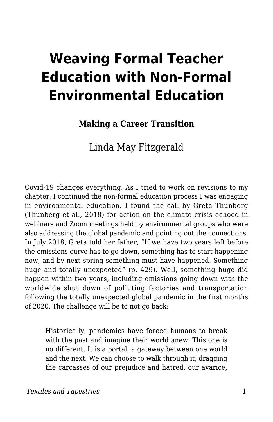# **Weaving Formal Teacher Education with Non-Formal Environmental Education**

#### **Making a Career Transition**

Linda May Fitzgerald

Covid-19 changes everything. As I tried to work on revisions to my chapter, I continued the non-formal education process I was engaging in environmental education. I found the call by Greta Thunberg (Thunberg et al., 2018) for action on the climate crisis echoed in webinars and Zoom meetings held by environmental groups who were also addressing the global pandemic and pointing out the connections. In July 2018, Greta told her father, "If we have two years left before the emissions curve has to go down, something has to start happening now, and by next spring something must have happened. Something huge and totally unexpected" (p. 429). Well, something huge did happen within two years, including emissions going down with the worldwide shut down of polluting factories and transportation following the totally unexpected global pandemic in the first months of 2020. The challenge will be to not go back:

Historically, pandemics have forced humans to break with the past and imagine their world anew. This one is no different. It is a portal, a gateway between one world and the next. We can choose to walk through it, dragging the carcasses of our prejudice and hatred, our avarice,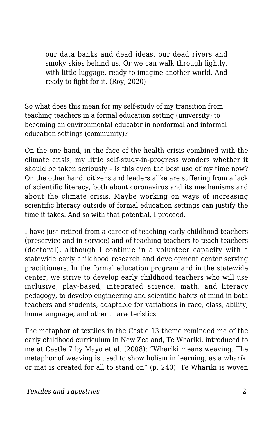our data banks and dead ideas, our dead rivers and smoky skies behind us. Or we can walk through lightly, with little luggage, ready to imagine another world. And ready to fight for it. (Roy, 2020)

So what does this mean for my self-study of my transition from teaching teachers in a formal education setting (university) to becoming an environmental educator in nonformal and informal education settings (community)?

On the one hand, in the face of the health crisis combined with the climate crisis, my little self-study-in-progress wonders whether it should be taken seriously – is this even the best use of my time now? On the other hand, citizens and leaders alike are suffering from a lack of scientific literacy, both about coronavirus and its mechanisms and about the climate crisis. Maybe working on ways of increasing scientific literacy outside of formal education settings can justify the time it takes. And so with that potential, I proceed.

I have just retired from a career of teaching early childhood teachers (preservice and in-service) and of teaching teachers to teach teachers (doctoral), although I continue in a volunteer capacity with a statewide early childhood research and development center serving practitioners. In the formal education program and in the statewide center, we strive to develop early childhood teachers who will use inclusive, play-based, integrated science, math, and literacy pedagogy, to develop engineering and scientific habits of mind in both teachers and students, adaptable for variations in race, class, ability, home language, and other characteristics.

The metaphor of textiles in the Castle 13 theme reminded me of the early childhood curriculum in New Zealand, Te Whariki, introduced to me at Castle 7 by Mayo et al. (2008): "Whariki means weaving. The metaphor of weaving is used to show holism in learning, as a whariki or mat is created for all to stand on" (p. 240). Te Whariki is woven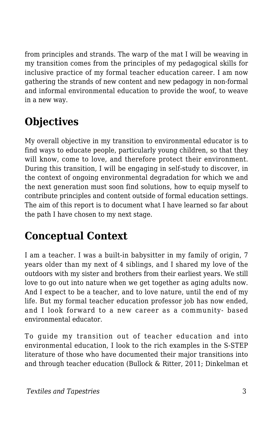from principles and strands. The warp of the mat I will be weaving in my transition comes from the principles of my pedagogical skills for inclusive practice of my formal teacher education career. I am now gathering the strands of new content and new pedagogy in non-formal and informal environmental education to provide the woof, to weave in a new way.

## **Objectives**

My overall objective in my transition to environmental educator is to find ways to educate people, particularly young children, so that they will know, come to love, and therefore protect their environment. During this transition, I will be engaging in self-study to discover, in the context of ongoing environmental degradation for which we and the next generation must soon find solutions, how to equip myself to contribute principles and content outside of formal education settings. The aim of this report is to document what I have learned so far about the path I have chosen to my next stage.

### **Conceptual Context**

I am a teacher. I was a built-in babysitter in my family of origin, 7 years older than my next of 4 siblings, and I shared my love of the outdoors with my sister and brothers from their earliest years. We still love to go out into nature when we get together as aging adults now. And I expect to be a teacher, and to love nature, until the end of my life. But my formal teacher education professor job has now ended, and I look forward to a new career as a community- based environmental educator.

To guide my transition out of teacher education and into environmental education, I look to the rich examples in the S-STEP literature of those who have documented their major transitions into and through teacher education (Bullock & Ritter, 2011; Dinkelman et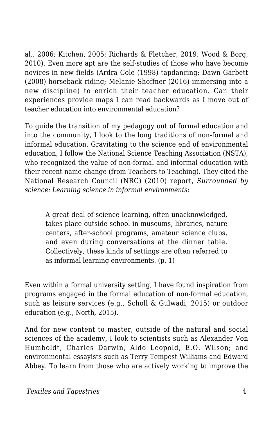al., 2006; Kitchen, 2005; Richards & Fletcher, 2019; Wood & Borg, 2010). Even more apt are the self-studies of those who have become novices in new fields (Ardra Cole (1998) tapdancing; Dawn Garbett (2008) horseback riding; Melanie Shoffner (2016) immersing into a new discipline) to enrich their teacher education. Can their experiences provide maps I can read backwards as I move out of teacher education into environmental education?

To guide the transition of my pedagogy out of formal education and into the community, I look to the long traditions of non-formal and informal education. Gravitating to the science end of environmental education, I follow the National Science Teaching Association (NSTA), who recognized the value of non-formal and informal education with their recent name change (from Teachers to Teaching). They cited the National Research Council (NRC) (2010) report, *Surrounded by science: Learning science in informal environments*:

A great deal of science learning, often unacknowledged, takes place outside school in museums, libraries, nature centers, after-school programs, amateur science clubs, and even during conversations at the dinner table. Collectively, these kinds of settings are often referred to as informal learning environments. (p. 1)

Even within a formal university setting, I have found inspiration from programs engaged in the formal education of non-formal education, such as leisure services (e.g., Scholl & Gulwadi, 2015) or outdoor education (e.g., North, 2015).

And for new content to master, outside of the natural and social sciences of the academy, I look to scientists such as Alexander Von Humboldt, Charles Darwin, Aldo Leopold, E.O. Wilson; and environmental essayists such as Terry Tempest Williams and Edward Abbey. To learn from those who are actively working to improve the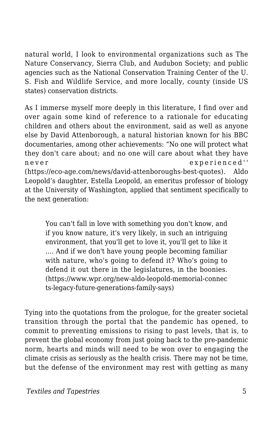natural world, I look to environmental organizations such as The Nature Conservancy, Sierra Club, and Audubon Society; and public agencies such as the National Conservation Training Center of the U. S. Fish and Wildlife Service, and more locally, county (inside US states) conservation districts.

As I immerse myself more deeply in this literature, I find over and over again some kind of reference to a rationale for educating children and others about the environment, said as well as anyone else by David Attenborough, a natural historian known for his BBC documentaries, among other achievements: "No one will protect what they don't care about; and no one will care about what they have never experienced'' (https://eco-age.com/news/david-attenboroughs-best-quotes). Aldo Leopold's daughter, Estella Leopold, an emeritus professor of biology at the University of Washington, applied that sentiment specifically to the next generation:

You can't fall in love with something you don't know, and if you know nature, it's very likely, in such an intriguing environment, that you'll get to love it, you'll get to like it …. And if we don't have young people becoming familiar with nature, who's going to defend it? Who's going to defend it out there in the legislatures, in the boonies. (https://www.wpr.org/new-aldo-leopold-memorial-connec ts-legacy-future-generations-family-says)

Tying into the quotations from the prologue, for the greater societal transition through the portal that the pandemic has opened, to commit to preventing emissions to rising to past levels, that is, to prevent the global economy from just going back to the pre-pandemic norm, hearts and minds will need to be won over to engaging the climate crisis as seriously as the health crisis. There may not be time, but the defense of the environment may rest with getting as many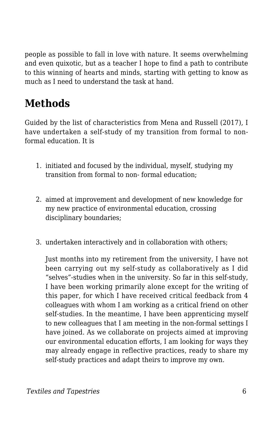people as possible to fall in love with nature. It seems overwhelming and even quixotic, but as a teacher I hope to find a path to contribute to this winning of hearts and minds, starting with getting to know as much as I need to understand the task at hand.

### **Methods**

Guided by the list of characteristics from Mena and Russell (2017), I have undertaken a self-study of my transition from formal to nonformal education. It is

- 1. initiated and focused by the individual, myself, studying my transition from formal to non- formal education;
- 2. aimed at improvement and development of new knowledge for my new practice of environmental education, crossing disciplinary boundaries;
- 3. undertaken interactively and in collaboration with others;

Just months into my retirement from the university, I have not been carrying out my self-study as collaboratively as I did "selves"-studies when in the university. So far in this self-study, I have been working primarily alone except for the writing of this paper, for which I have received critical feedback from 4 colleagues with whom I am working as a critical friend on other self-studies. In the meantime, I have been apprenticing myself to new colleagues that I am meeting in the non-formal settings I have joined. As we collaborate on projects aimed at improving our environmental education efforts, I am looking for ways they may already engage in reflective practices, ready to share my self-study practices and adapt theirs to improve my own.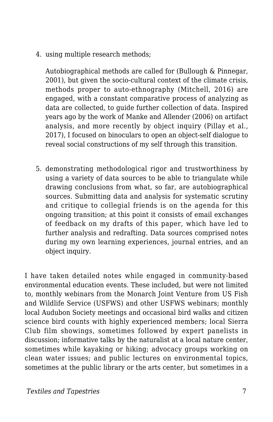4. using multiple research methods;

Autobiographical methods are called for (Bullough & Pinnegar, 2001), but given the socio-cultural context of the climate crisis, methods proper to auto-ethnography (Mitchell, 2016) are engaged, with a constant comparative process of analyzing as data are collected, to guide further collection of data. Inspired years ago by the work of Manke and Allender (2006) on artifact analysis, and more recently by object inquiry (Pillay et al., 2017), I focused on binoculars to open an object-self dialogue to reveal social constructions of my self through this transition.

5. demonstrating methodological rigor and trustworthiness by using a variety of data sources to be able to triangulate while drawing conclusions from what, so far, are autobiographical sources. Submitting data and analysis for systematic scrutiny and critique to collegial friends is on the agenda for this ongoing transition; at this point it consists of email exchanges of feedback on my drafts of this paper, which have led to further analysis and redrafting. Data sources comprised notes during my own learning experiences, journal entries, and an object inquiry.

I have taken detailed notes while engaged in community-based environmental education events. These included, but were not limited to, monthly webinars from the Monarch Joint Venture from US Fish and Wildlife Service (USFWS) and other USFWS webinars; monthly local Audubon Society meetings and occasional bird walks and citizen science bird counts with highly experienced members; local Sierra Club film showings, sometimes followed by expert panelists in discussion; informative talks by the naturalist at a local nature center, sometimes while kayaking or hiking; advocacy groups working on clean water issues; and public lectures on environmental topics, sometimes at the public library or the arts center, but sometimes in a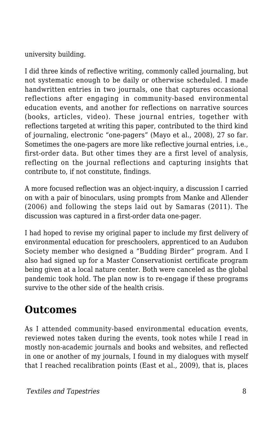university building.

I did three kinds of reflective writing, commonly called journaling, but not systematic enough to be daily or otherwise scheduled. I made handwritten entries in two journals, one that captures occasional reflections after engaging in community-based environmental education events, and another for reflections on narrative sources (books, articles, video). These journal entries, together with reflections targeted at writing this paper, contributed to the third kind of journaling, electronic "one-pagers" (Mayo et al., 2008), 27 so far. Sometimes the one-pagers are more like reflective journal entries, i.e., first-order data. But other times they are a first level of analysis, reflecting on the journal reflections and capturing insights that contribute to, if not constitute, findings.

A more focused reflection was an object-inquiry, a discussion I carried on with a pair of binoculars, using prompts from Manke and Allender (2006) and following the steps laid out by Samaras (2011). The discussion was captured in a first-order data one-pager.

I had hoped to revise my original paper to include my first delivery of environmental education for preschoolers, apprenticed to an Audubon Society member who designed a "Budding Birder" program. And I also had signed up for a Master Conservationist certificate program being given at a local nature center. Both were canceled as the global pandemic took hold. The plan now is to re-engage if these programs survive to the other side of the health crisis.

### **Outcomes**

As I attended community-based environmental education events, reviewed notes taken during the events, took notes while I read in mostly non-academic journals and books and websites, and reflected in one or another of my journals, I found in my dialogues with myself that I reached recalibration points (East et al., 2009), that is, places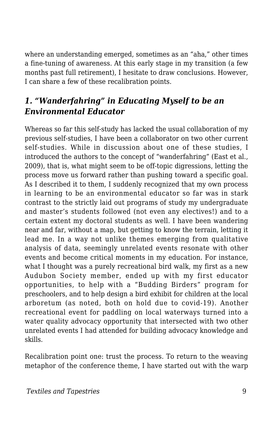where an understanding emerged, sometimes as an "aha," other times a fine-tuning of awareness. At this early stage in my transition (a few months past full retirement), I hesitate to draw conclusions. However, I can share a few of these recalibration points.

#### *1. "Wanderfahring" in Educating Myself to be an Environmental Educator*

Whereas so far this self-study has lacked the usual collaboration of my previous self-studies, I have been a collaborator on two other current self-studies. While in discussion about one of these studies, I introduced the authors to the concept of "wanderfahring" (East et al., 2009), that is, what might seem to be off-topic digressions, letting the process move us forward rather than pushing toward a specific goal. As I described it to them, I suddenly recognized that my own process in learning to be an environmental educator so far was in stark contrast to the strictly laid out programs of study my undergraduate and master's students followed (not even any electives!) and to a certain extent my doctoral students as well. I have been wandering near and far, without a map, but getting to know the terrain, letting it lead me. In a way not unlike themes emerging from qualitative analysis of data, seemingly unrelated events resonate with other events and become critical moments in my education. For instance, what I thought was a purely recreational bird walk, my first as a new Audubon Society member, ended up with my first educator opportunities, to help with a "Budding Birders" program for preschoolers, and to help design a bird exhibit for children at the local arboretum (as noted, both on hold due to covid-19). Another recreational event for paddling on local waterways turned into a water quality advocacy opportunity that intersected with two other unrelated events I had attended for building advocacy knowledge and skills.

Recalibration point one: trust the process. To return to the weaving metaphor of the conference theme, I have started out with the warp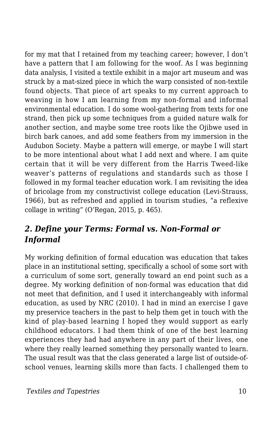for my mat that I retained from my teaching career; however, I don't have a pattern that I am following for the woof. As I was beginning data analysis, I visited a textile exhibit in a major art museum and was struck by a mat-sized piece in which the warp consisted of non-textile found objects. That piece of art speaks to my current approach to weaving in how I am learning from my non-formal and informal environmental education. I do some wool-gathering from texts for one strand, then pick up some techniques from a guided nature walk for another section, and maybe some tree roots like the Ojibwe used in birch bark canoes, and add some feathers from my immersion in the Audubon Society. Maybe a pattern will emerge, or maybe I will start to be more intentional about what I add next and where. I am quite certain that it will be very different from the Harris Tweed-like weaver's patterns of regulations and standards such as those I followed in my formal teacher education work. I am revisiting the idea of bricolage from my constructivist college education (Levi-Strauss, 1966), but as refreshed and applied in tourism studies, "a reflexive collage in writing" (O'Regan, 2015, p. 465).

#### *2. Define your Terms: Formal vs. Non-Formal or Informal*

My working definition of formal education was education that takes place in an institutional setting, specifically a school of some sort with a curriculum of some sort, generally toward an end point such as a degree. My working definition of non-formal was education that did not meet that definition, and I used it interchangeably with informal education, as used by NRC (2010). I had in mind an exercise I gave my preservice teachers in the past to help them get in touch with the kind of play-based learning I hoped they would support as early childhood educators. I had them think of one of the best learning experiences they had had anywhere in any part of their lives, one where they really learned something they personally wanted to learn. The usual result was that the class generated a large list of outside-ofschool venues, learning skills more than facts. I challenged them to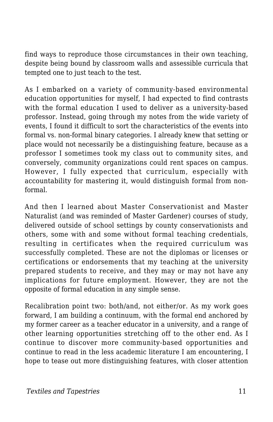find ways to reproduce those circumstances in their own teaching, despite being bound by classroom walls and assessible curricula that tempted one to just teach to the test.

As I embarked on a variety of community-based environmental education opportunities for myself, I had expected to find contrasts with the formal education I used to deliver as a university-based professor. Instead, going through my notes from the wide variety of events, I found it difficult to sort the characteristics of the events into formal vs. non-formal binary categories. I already knew that setting or place would not necessarily be a distinguishing feature, because as a professor I sometimes took my class out to community sites, and conversely, community organizations could rent spaces on campus. However, I fully expected that curriculum, especially with accountability for mastering it, would distinguish formal from nonformal.

And then I learned about Master Conservationist and Master Naturalist (and was reminded of Master Gardener) courses of study, delivered outside of school settings by county conservationists and others, some with and some without formal teaching credentials, resulting in certificates when the required curriculum was successfully completed. These are not the diplomas or licenses or certifications or endorsements that my teaching at the university prepared students to receive, and they may or may not have any implications for future employment. However, they are not the opposite of formal education in any simple sense.

Recalibration point two: both/and, not either/or. As my work goes forward, I am building a continuum, with the formal end anchored by my former career as a teacher educator in a university, and a range of other learning opportunities stretching off to the other end. As I continue to discover more community-based opportunities and continue to read in the less academic literature I am encountering, I hope to tease out more distinguishing features, with closer attention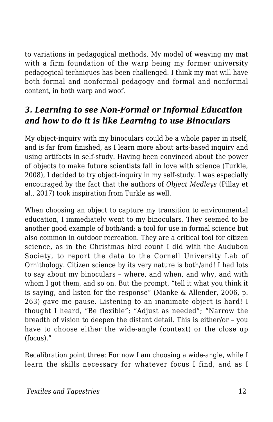to variations in pedagogical methods. My model of weaving my mat with a firm foundation of the warp being my former university pedagogical techniques has been challenged. I think my mat will have both formal and nonformal pedagogy and formal and nonformal content, in both warp and woof.

#### *3. Learning to see Non-Formal or Informal Education and how to do it is like Learning to use Binoculars*

My object-inquiry with my binoculars could be a whole paper in itself, and is far from finished, as I learn more about arts-based inquiry and using artifacts in self-study. Having been convinced about the power of objects to make future scientists fall in love with science (Turkle, 2008), I decided to try object-inquiry in my self-study. I was especially encouraged by the fact that the authors of *Object Medleys* (Pillay et al., 2017) took inspiration from Turkle as well.

When choosing an object to capture my transition to environmental education, I immediately went to my binoculars. They seemed to be another good example of both/and: a tool for use in formal science but also common in outdoor recreation. They are a critical tool for citizen science, as in the Christmas bird count I did with the Audubon Society, to report the data to the Cornell University Lab of Ornithology. Citizen science by its very nature is both/and! I had lots to say about my binoculars – where, and when, and why, and with whom I got them, and so on. But the prompt, "tell it what you think it is saying, and listen for the response" (Manke & Allender, 2006, p. 263) gave me pause. Listening to an inanimate object is hard! I thought I heard, "Be flexible"; "Adjust as needed"; "Narrow the breadth of vision to deepen the distant detail. This is either/or – you have to choose either the wide-angle (context) or the close up (focus)."

Recalibration point three: For now I am choosing a wide-angle, while I learn the skills necessary for whatever focus I find, and as I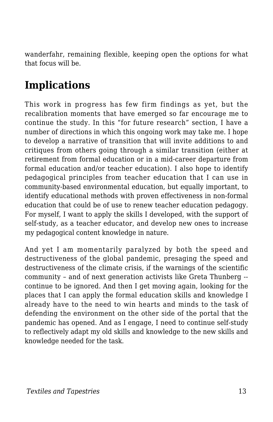wanderfahr, remaining flexible, keeping open the options for what that focus will be.

### **Implications**

This work in progress has few firm findings as yet, but the recalibration moments that have emerged so far encourage me to continue the study. In this "for future research" section, I have a number of directions in which this ongoing work may take me. I hope to develop a narrative of transition that will invite additions to and critiques from others going through a similar transition (either at retirement from formal education or in a mid-career departure from formal education and/or teacher education). I also hope to identify pedagogical principles from teacher education that I can use in community-based environmental education, but equally important, to identify educational methods with proven effectiveness in non-formal education that could be of use to renew teacher education pedagogy. For myself, I want to apply the skills I developed, with the support of self-study, as a teacher educator, and develop new ones to increase my pedagogical content knowledge in nature.

And yet I am momentarily paralyzed by both the speed and destructiveness of the global pandemic, presaging the speed and destructiveness of the climate crisis, if the warnings of the scientific community – and of next generation activists like Greta Thunberg - continue to be ignored. And then I get moving again, looking for the places that I can apply the formal education skills and knowledge I already have to the need to win hearts and minds to the task of defending the environment on the other side of the portal that the pandemic has opened. And as I engage, I need to continue self-study to reflectively adapt my old skills and knowledge to the new skills and knowledge needed for the task.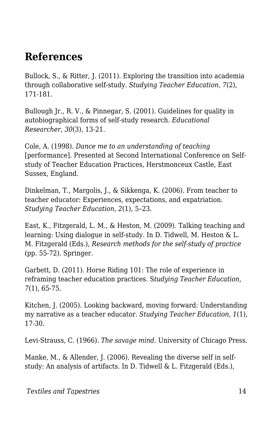### **References**

Bullock, S., & Ritter, J. (2011). Exploring the transition into academia through collaborative self-study. *Studying Teacher Education*, *7*(2), 171-181.

Bullough Jr., R. V., & Pinnegar, S. (2001). Guidelines for quality in autobiographical forms of self-study research. *Educational Researcher*, *30*(3), 13-21.

Cole, A. (1998). *Dance me to an understanding of teaching* [performance]. Presented at Second International Conference on Selfstudy of Teacher Education Practices, Herstmonceux Castle, East Sussex, England.

Dinkelman, T., Margolis, J., & Sikkenga, K. (2006). From teacher to teacher educator: Experiences, expectations, and expatriation. *Studying Teacher Education, 2*(1), 5–23.

East, K., Fitzgerald, L. M., & Heston, M. (2009). Talking teaching and learning: Using dialogue in self-study. In D. Tidwell, M. Heston & L. M. Fitzgerald (Eds.), *Research methods for the self-study of practice* (pp. 55-72). Springer.

Garbett, D. (2011). Horse Riding 101: The role of experience in reframing teacher education practices. S*tudying Teacher Education, 7*(1), 65-75.

Kitchen, J. (2005). Looking backward, moving forward: Understanding my narrative as a teacher educator. *Studying Teacher Education, 1*(1), 17-30.

Levi-Strauss, C. (1966). *The savage mind*. University of Chicago Press.

Manke, M., & Allender, J. (2006). Revealing the diverse self in selfstudy: An analysis of artifacts. In D. Tidwell & L. Fitzgerald (Eds.),

*Textiles and Tapestries* 14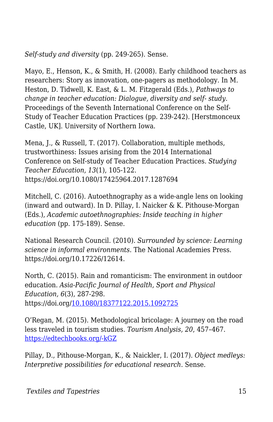*Self-study and diversity* (pp. 249-265). Sense.

Mayo, E., Henson, K., & Smith, H. (2008). Early childhood teachers as researchers: Story as innovation, one-pagers as methodology. In M. Heston, D. Tidwell, K. East, & L. M. Fitzgerald (Eds.), *Pathways to change in teacher education: Dialogue, diversity and self- study.* Proceedings of the Seventh International Conference on the Self-Study of Teacher Education Practices (pp. 239-242)*.* [Herstmonceux Castle, UK]. University of Northern Iowa.

Mena, J., & Russell, T. (2017). Collaboration, multiple methods, trustworthiness: Issues arising from the 2014 International Conference on Self-study of Teacher Education Practices. *Studying Teacher Education, 13*(1), 105-122. https://doi.org/10.1080/17425964.2017.1287694

Mitchell, C. (2016). Autoethnography as a wide-angle lens on looking (inward and outward). In D. Pillay, I. Naicker & K. Pithouse-Morgan (Eds.), *Academic autoethnographies: Inside teaching in higher education* (pp. 175-189). Sense.

National Research Council. (2010). *Surrounded by science: Learning science in informal environments*. The National Academies Press. https://doi.org/10.17226/12614.

North, C. (2015). Rain and romanticism: The environment in outdoor education. *Asia-Pacific Journal of Health, Sport and Physical Education, 6*(3), 287-298. https://doi.org/[10.1080/18377122.2015.1092725](https://doi.org/10.1080/18377122.2015.1092725)

O'Regan, M. (2015). Methodological bricolage: A journey on the road less traveled in tourism studies. *Tourism Analysis, 20*, 457–467. [https://edtechbooks.org/-kGZ](http://dx.doi.org/10.3727/108354215X14265319207434)

Pillay, D., Pithouse-Morgan, K., & Naickler, I. (2017). *Object medleys: Interpretive possibilities for educational research*. Sense.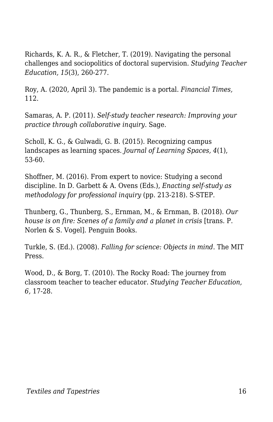Richards, K. A. R., & Fletcher, T. (2019). Navigating the personal challenges and sociopolitics of doctoral supervision. *Studying Teacher Education, 15*(3), 260-277.

Roy, A. (2020, April 3). The pandemic is a portal. *Financial Times,* 112.

Samaras, A. P. (2011). *Self-study teacher research: Improving your practice through collaborative inquiry*. Sage.

Scholl, K. G., & Gulwadi, G. B. (2015). Recognizing campus landscapes as learning spaces. *Journal of Learning Spaces, 4*(1), 53-60.

Shoffner, M. (2016). From expert to novice: Studying a second discipline. In D. Garbett & A. Ovens (Eds.), *Enacting self-study as methodology for professional inquiry* (pp. 213-218). S-STEP.

Thunberg, G., Thunberg, S., Ernman, M., & Ernman, B. (2018). *Our house is on fire: Scenes of a family and a planet in crisis* [trans. P. Norlen & S. Vogel]. Penguin Books.

Turkle, S. (Ed.). (2008). *Falling for science: Objects in mind*. The MIT Press.

Wood, D., & Borg, T. (2010). The Rocky Road: The journey from classroom teacher to teacher educator. *Studying Teacher Education, 6,* 17-28.